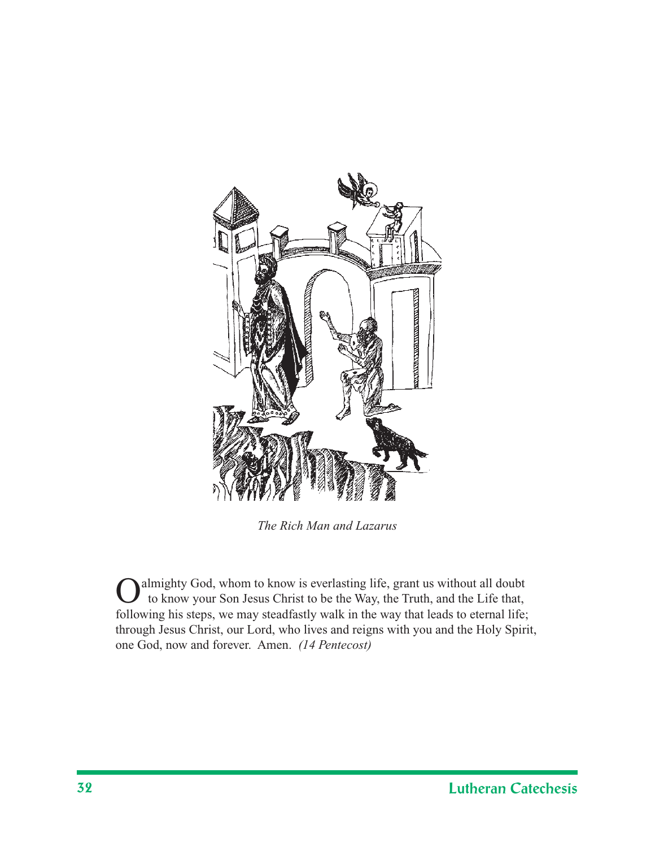<span id="page-0-0"></span>

*The Rich Man and Lazarus*

almighty God, whom to know is everlasting life, grant us without all doubt to know your Son Jesus Christ to be the Way, the Truth, and the Life that, following his steps, we may steadfastly walk in the way that leads to eternal life; through Jesus Christ, our Lord, who lives and reigns with you and the Holy Spirit, one God, now and forever. Amen. *(14 Pentecost)*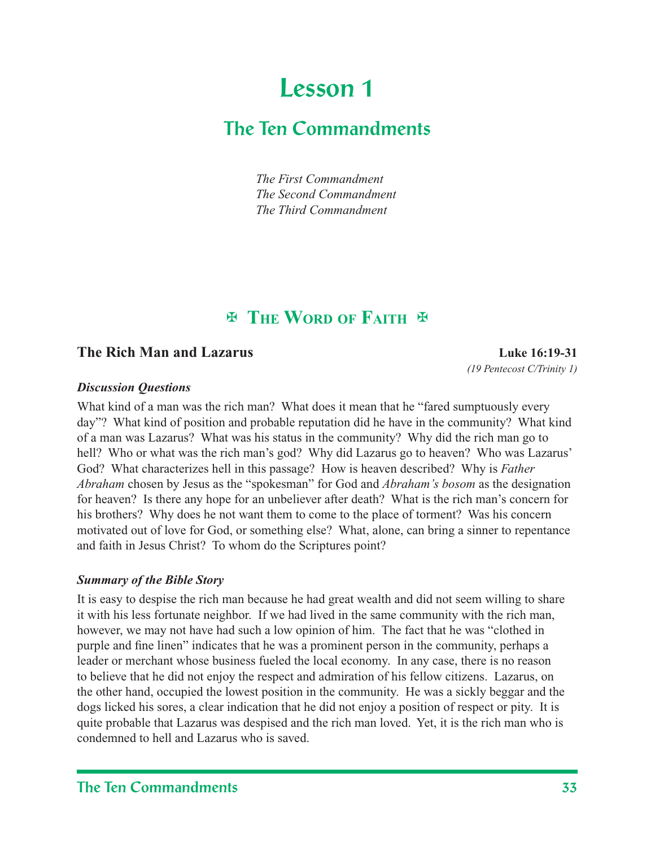# **Lesson 1**

# <span id="page-1-0"></span>**The Ten Commandments**

*The First Commandment The Second Commandment The Third Commandment*

## ✠ **THE WORD OF FAITH** ✠

#### **The Rich Man and Lazarus Luke 16:19-31**

*(19 Pentecost C/Trinity 1)*

#### *Discussion Questions*

What kind of a man was the rich man? What does it mean that he "fared sumptuously every day"? What kind of position and probable reputation did he have in the community? What kind of a man was Lazarus? What was his status in the community? Why did the rich man go to hell? Who or what was the rich man's god? Why did Lazarus go to heaven? Who was Lazarus' God? What characterizes hell in this passage? How is heaven described? Why is *Father Abraham* chosen by Jesus as the "spokesman" for God and *Abraham's bosom* as the designation for heaven? Is there any hope for an unbeliever after death? What is the rich man's concern for his brothers? Why does he not want them to come to the place of torment? Was his concern motivated out of love for God, or something else? What, alone, can bring a sinner to repentance and faith in Jesus Christ? To whom do the Scriptures point?

#### *Summary of the Bible Story*

It is easy to despise the rich man because he had great wealth and did not seem willing to share it with his less fortunate neighbor. If we had lived in the same community with the rich man, however, we may not have had such a low opinion of him. The fact that he was "clothed in purple and fine linen" indicates that he was a prominent person in the community, perhaps a leader or merchant whose business fueled the local economy. In any case, there is no reason to believe that he did not enjoy the respect and admiration of his fellow citizens. Lazarus, on the other hand, occupied the lowest position in the community. He was a sickly beggar and the dogs licked his sores, a clear indication that he did not enjoy a position of respect or pity. It is quite probable that Lazarus was despised and the rich man loved. Yet, it is the rich man who is condemned to hell and Lazarus who is saved.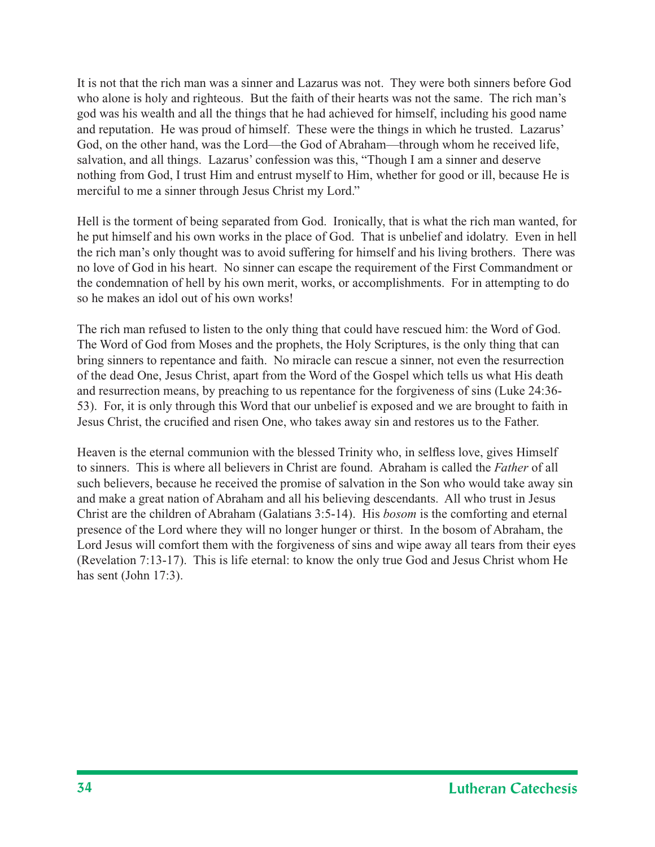It is not that the rich man was a sinner and Lazarus was not. They were both sinners before God who alone is holy and righteous. But the faith of their hearts was not the same. The rich man's god was his wealth and all the things that he had achieved for himself, including his good name and reputation. He was proud of himself. These were the things in which he trusted. Lazarus' God, on the other hand, was the Lord—the God of Abraham—through whom he received life, salvation, and all things. Lazarus' confession was this, "Though I am a sinner and deserve nothing from God, I trust Him and entrust myself to Him, whether for good or ill, because He is merciful to me a sinner through Jesus Christ my Lord."

Hell is the torment of being separated from God. Ironically, that is what the rich man wanted, for he put himself and his own works in the place of God. That is unbelief and idolatry. Even in hell the rich man's only thought was to avoid suffering for himself and his living brothers. There was no love of God in his heart. No sinner can escape the requirement of the First Commandment or the condemnation of hell by his own merit, works, or accomplishments. For in attempting to do so he makes an idol out of his own works!

The rich man refused to listen to the only thing that could have rescued him: the Word of God. The Word of God from Moses and the prophets, the Holy Scriptures, is the only thing that can bring sinners to repentance and faith. No miracle can rescue a sinner, not even the resurrection of the dead One, Jesus Christ, apart from the Word of the Gospel which tells us what His death and resurrection means, by preaching to us repentance for the forgiveness of sins (Luke 24:36- 53). For, it is only through this Word that our unbelief is exposed and we are brought to faith in Jesus Christ, the crucified and risen One, who takes away sin and restores us to the Father.

Heaven is the eternal communion with the blessed Trinity who, in selfless love, gives Himself to sinners. This is where all believers in Christ are found. Abraham is called the *Father* of all such believers, because he received the promise of salvation in the Son who would take away sin and make a great nation of Abraham and all his believing descendants. All who trust in Jesus Christ are the children of Abraham (Galatians 3:5-14). His *bosom* is the comforting and eternal presence of the Lord where they will no longer hunger or thirst. In the bosom of Abraham, the Lord Jesus will comfort them with the forgiveness of sins and wipe away all tears from their eyes (Revelation 7:13-17). This is life eternal: to know the only true God and Jesus Christ whom He has sent (John 17:3).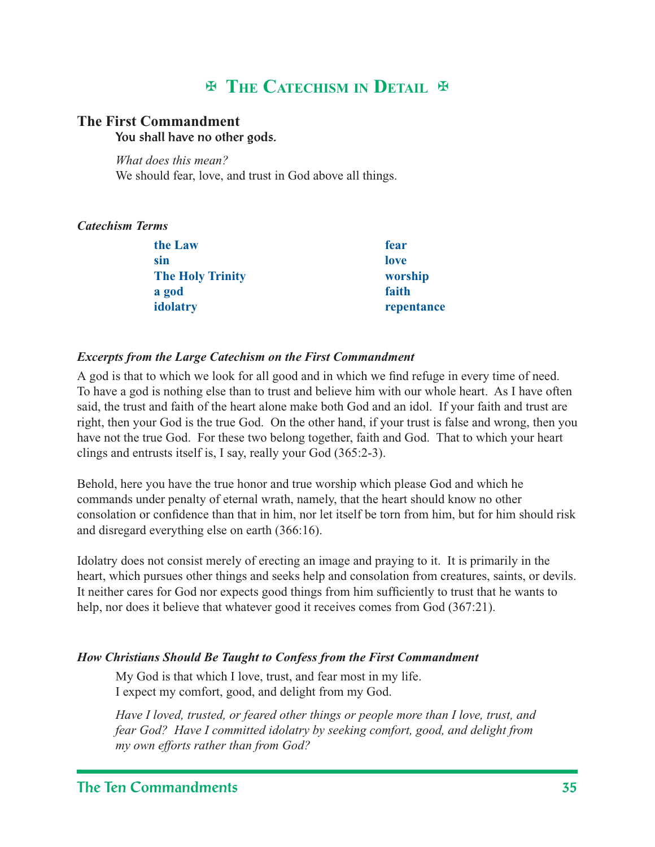# ✠ **THE CATECHISM IN DETAIL** ✠

### **The First Commandment**

**You shall have no other gods.**

*What does this mean?* We should fear, love, and trust in God above all things.

#### *Catechism Terms*

| the Law                 | fear       |
|-------------------------|------------|
| sin                     | love       |
| <b>The Holy Trinity</b> | worship    |
| a god                   | faith      |
| idolatry                | repentance |

#### *Excerpts from the Large Catechism on the First Commandment*

A god is that to which we look for all good and in which we find refuge in every time of need. To have a god is nothing else than to trust and believe him with our whole heart. As I have often said, the trust and faith of the heart alone make both God and an idol. If your faith and trust are right, then your God is the true God. On the other hand, if your trust is false and wrong, then you have not the true God. For these two belong together, faith and God. That to which your heart clings and entrusts itself is, I say, really your God (365:2-3).

Behold, here you have the true honor and true worship which please God and which he commands under penalty of eternal wrath, namely, that the heart should know no other consolation or confidence than that in him, nor let itself be torn from him, but for him should risk and disregard everything else on earth (366:16).

Idolatry does not consist merely of erecting an image and praying to it. It is primarily in the heart, which pursues other things and seeks help and consolation from creatures, saints, or devils. It neither cares for God nor expects good things from him sufficiently to trust that he wants to help, nor does it believe that whatever good it receives comes from God (367:21).

#### *How Christians Should Be Taught to Confess from the First Commandment*

My God is that which I love, trust, and fear most in my life. I expect my comfort, good, and delight from my God.

*Have I loved, trusted, or feared other things or people more than I love, trust, and fear God? Have I committed idolatry by seeking comfort, good, and delight from my own efforts rather than from God?*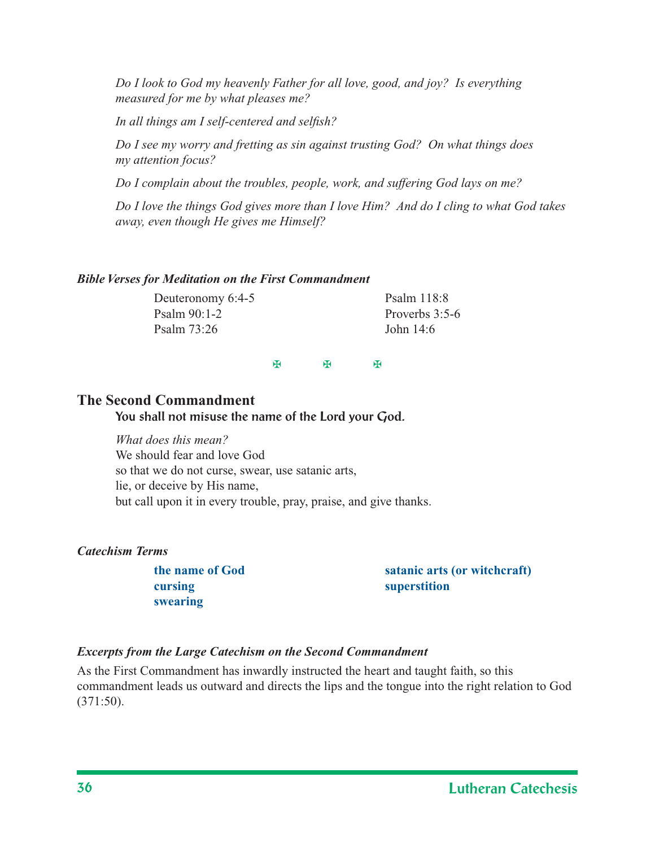*Do I look to God my heavenly Father for all love, good, and joy? Is everything measured for me by what pleases me?*

*In all things am I self-centered and selfish?* 

*Do I see my worry and fretting as sin against trusting God? On what things does my attention focus?*

*Do I complain about the troubles, people, work, and suffering God lays on me?*

*Do I love the things God gives more than I love Him? And do I cling to what God takes away, even though He gives me Himself?*

#### *Bible Verses for Meditation on the First Commandment*

Deuteronomy 6:4-5 Psalm 118:8 Psalm 90:1-2 Proverbs 3:5-6 Psalm 73:26 John 14:6

✠ ✠ ✠

### **The Second Commandment**

**You shall not misuse the name of the Lord your God.**

*What does this mean?* We should fear and love God so that we do not curse, swear, use satanic arts, lie, or deceive by His name, but call upon it in every trouble, pray, praise, and give thanks.

#### *Catechism Terms*

**cursing superstition swearing**

**the name of God [satanic arts \(or witchcraft\)](#page-1-0)**

#### *Excerpts from the Large Catechism on the Second Commandment*

As the First Commandment has inwardly instructed the heart and taught faith, so this commandment leads us outward and directs the lips and the tongue into the right relation to God (371:50).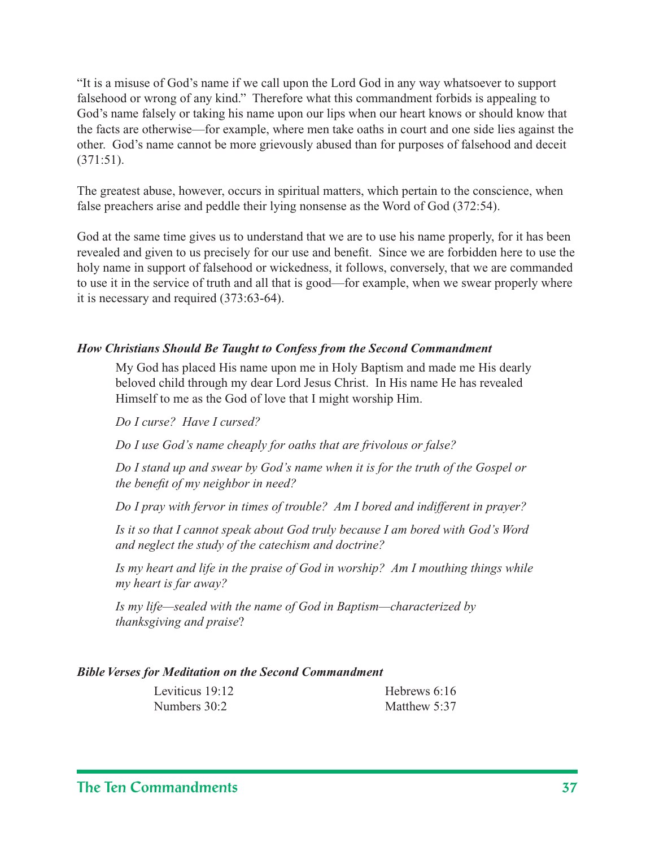"It is a misuse of God's name if we call upon the Lord God in any way whatsoever to support falsehood or wrong of any kind." Therefore what this commandment forbids is appealing to God's name falsely or taking his name upon our lips when our heart knows or should know that the facts are otherwise—for example, where men take oaths in court and one side lies against the other. God's name cannot be more grievously abused than for purposes of falsehood and deceit (371:51).

The greatest abuse, however, occurs in spiritual matters, which pertain to the conscience, when false preachers arise and peddle their lying nonsense as the Word of God (372:54).

God at the same time gives us to understand that we are to use his name properly, for it has been revealed and given to us precisely for our use and benefit. Since we are forbidden here to use the holy name in support of falsehood or wickedness, it follows, conversely, that we are commanded to use it in the service of truth and all that is good—for example, when we swear properly where it is necessary and required (373:63-64).

#### *How Christians Should Be Taught to Confess from the Second Commandment*

My God has placed His name upon me in Holy Baptism and made me His dearly beloved child through my dear Lord Jesus Christ. In His name He has revealed Himself to me as the God of love that I might worship Him.

*Do I curse? Have I cursed?*

*Do I use God's name cheaply for oaths that are frivolous or false?*

*Do I stand up and swear by God's name when it is for the truth of the Gospel or the benefit of my neighbor in need?* 

*Do I pray with fervor in times of trouble? Am I bored and indifferent in prayer?*

*Is it so that I cannot speak about God truly because I am bored with God's Word and neglect the study of the catechism and doctrine?*

*Is my heart and life in the praise of God in worship? Am I mouthing things while my heart is far away?*

*Is my life—sealed with the name of God in Baptism—characterized by thanksgiving and praise*?

#### *Bible Verses for Meditation on the Second Commandment*

Numbers 30:2 Matthew 5:37

Leviticus 19:12 Hebrews 6:16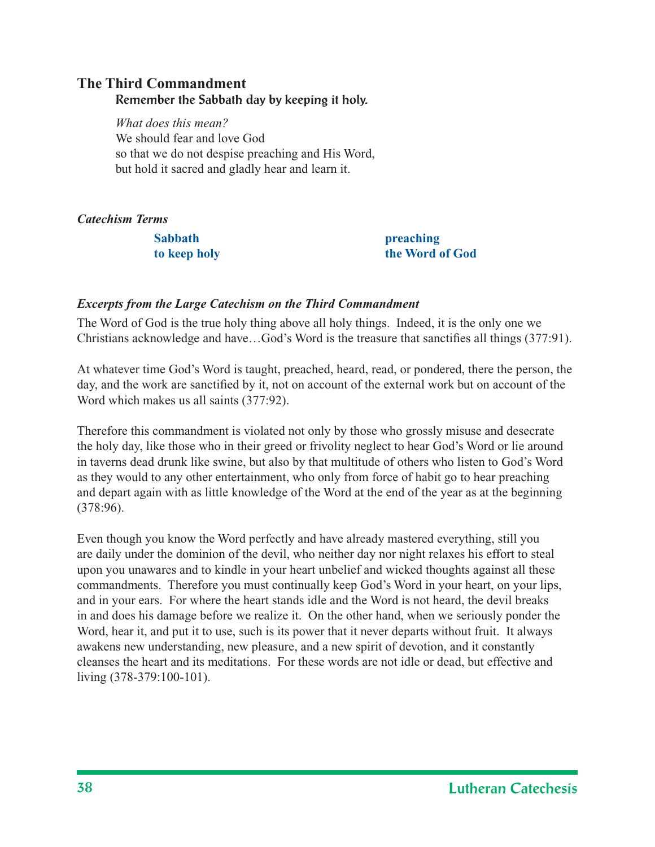### **The Third Commandment**

#### **Remember the Sabbath day by keeping it holy.**

*What does this mean?* We should fear and love God so that we do not despise preaching and His Word, but hold it sacred and gladly hear and learn it.

*Catechism Terms*

**Sabbath preaching**

**to keep holy [the Word of God](#page-1-0)**

#### *Excerpts from the Large Catechism on the Third Commandment*

The Word of God is the true holy thing above all holy things. Indeed, it is the only one we Christians acknowledge and have...God's Word is the treasure that sanctifies all things (377:91).

At whatever time God's Word is taught, preached, heard, read, or pondered, there the person, the day, and the work are sanctified by it, not on account of the external work but on account of the Word which makes us all saints (377:92).

Therefore this commandment is violated not only by those who grossly misuse and desecrate the holy day, like those who in their greed or frivolity neglect to hear God's Word or lie around in taverns dead drunk like swine, but also by that multitude of others who listen to God's Word as they would to any other entertainment, who only from force of habit go to hear preaching and depart again with as little knowledge of the Word at the end of the year as at the beginning (378:96).

Even though you know the Word perfectly and have already mastered everything, still you are daily under the dominion of the devil, who neither day nor night relaxes his effort to steal upon you unawares and to kindle in your heart unbelief and wicked thoughts against all these commandments. Therefore you must continually keep God's Word in your heart, on your lips, and in your ears. For where the heart stands idle and the Word is not heard, the devil breaks in and does his damage before we realize it. On the other hand, when we seriously ponder the Word, hear it, and put it to use, such is its power that it never departs without fruit. It always awakens new understanding, new pleasure, and a new spirit of devotion, and it constantly cleanses the heart and its meditations. For these words are not idle or dead, but effective and living (378-379:100-101).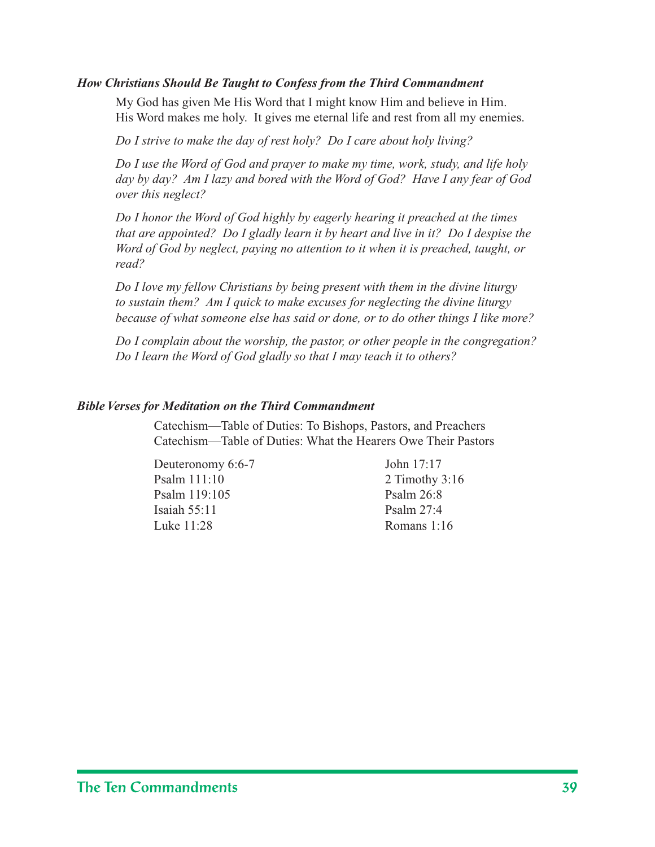#### *How Christians Should Be Taught to Confess from the Third Commandment*

My God has given Me His Word that I might know Him and believe in Him. His Word makes me holy. It gives me eternal life and rest from all my enemies.

*Do I strive to make the day of rest holy? Do I care about holy living?*

*Do I use the Word of God and prayer to make my time, work, study, and life holy day by day? Am I lazy and bored with the Word of God? Have I any fear of God over this neglect?*

*Do I honor the Word of God highly by eagerly hearing it preached at the times that are appointed? Do I gladly learn it by heart and live in it? Do I despise the Word of God by neglect, paying no attention to it when it is preached, taught, or read?*

*Do I love my fellow Christians by being present with them in the divine liturgy to sustain them? Am I quick to make excuses for neglecting the divine liturgy because of what someone else has said or done, or to do other things I like more?*

*Do I complain about the worship, the pastor, or other people in the congregation? Do I learn the Word of God gladly so that I may teach it to others?*

#### *Bible Verses for Meditation on the Third Commandment*

Catechism—Table of Duties: To Bishops, Pastors, and Preachers Catechism—Table of Duties: What the Hearers Owe Their Pastors

Deuteronomy 6:6-7 John 17:17 Psalm 111:10 2 Timothy 3:16 Psalm 119:105 Psalm 26:8 Isaiah 55:11 Psalm 27:4 Luke 11:28 Romans 1:16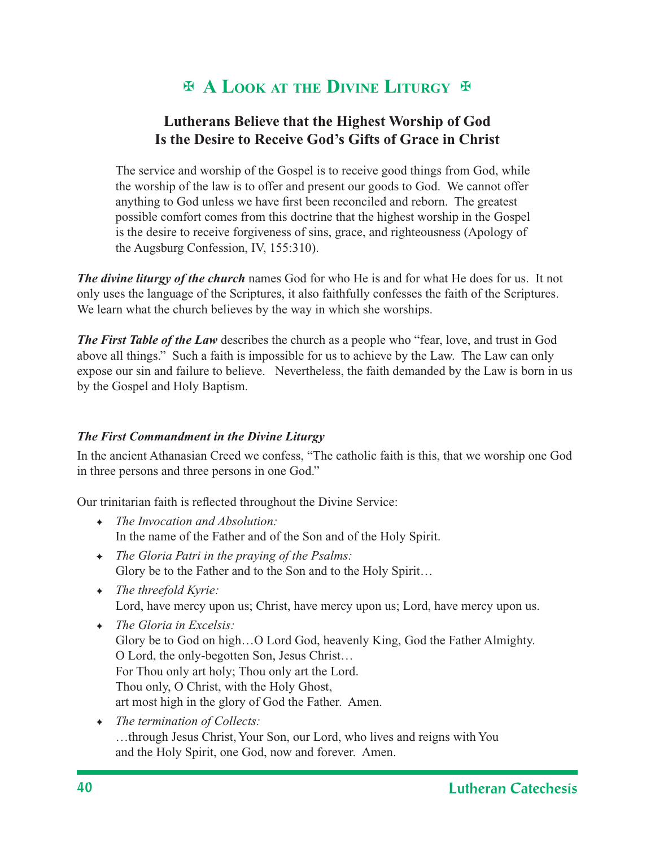# ✠ **A LOOK AT THE DIVINE LITURGY** ✠

### **Lutherans Believe that the Highest Worship of God Is the Desire to Receive God's Gifts of Grace in Christ**

The service and worship of the Gospel is to receive good things from God, while the worship of the law is to offer and present our goods to God. We cannot offer anything to God unless we have first been reconciled and reborn. The greatest possible comfort comes from this doctrine that the highest worship in the Gospel is the desire to receive forgiveness of sins, grace, and righteousness (Apology of the Augsburg Confession, IV, 155:310).

*The divine liturgy of the church* names God for who He is and for what He does for us. It not only uses the language of the Scriptures, it also faithfully confesses the faith of the Scriptures. We learn what the church believes by the way in which she worships.

*The First Table of the Law* describes the church as a people who "fear, love, and trust in God above all things." Such a faith is impossible for us to achieve by the Law. The Law can only expose our sin and failure to believe. Nevertheless, the faith demanded by the Law is born in us by the Gospel and Holy Baptism.

#### *The First Commandment in the Divine Liturgy*

In the ancient Athanasian Creed we confess, "The catholic faith is this, that we worship one God in three persons and three persons in one God."

Our trinitarian faith is reflected throughout the Divine Service:

- ✦ *The Invocation and Absolution:* In the name of the Father and of the Son and of the Holy Spirit.
- ✦ *The Gloria Patri in the praying of the Psalms:*  Glory be to the Father and to the Son and to the Holy Spirit…
- ✦ *The threefold Kyrie:* Lord, have mercy upon us; Christ, have mercy upon us; Lord, have mercy upon us.
- ✦ *The Gloria in Excelsis:* Glory be to God on high…O Lord God, heavenly King, God the Father Almighty. O Lord, the only-begotten Son, Jesus Christ… For Thou only art holy; Thou only art the Lord. Thou only, O Christ, with the Holy Ghost, art most high in the glory of God the Father. Amen.
- ✦ *The termination of Collects:* …through Jesus Christ, Your Son, our Lord, who lives and reigns with You and the Holy Spirit, one God, now and forever. Amen.